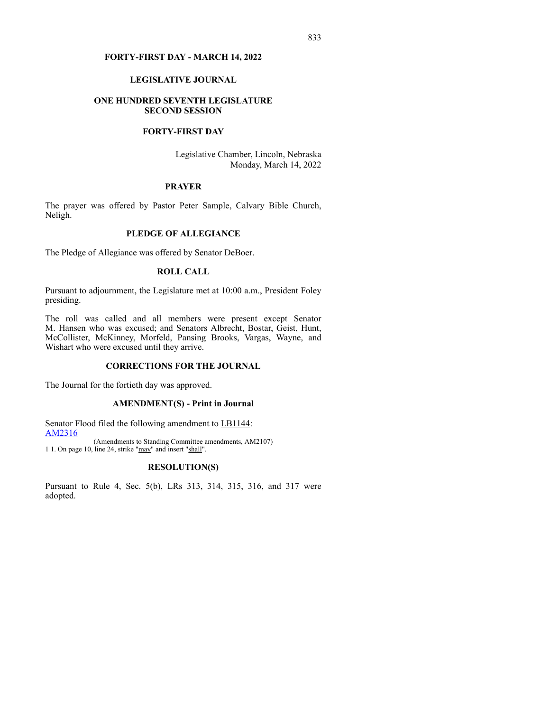#### **FORTY-FIRST DAY - MARCH 14, 2022**

## **LEGISLATIVE JOURNAL**

## **ONE HUNDRED SEVENTH LEGISLATURE SECOND SESSION**

## **FORTY-FIRST DAY**

Legislative Chamber, Lincoln, Nebraska Monday, March 14, 2022

## **PRAYER**

The prayer was offered by Pastor Peter Sample, Calvary Bible Church, Neligh.

# **PLEDGE OF ALLEGIANCE**

The Pledge of Allegiance was offered by Senator DeBoer.

## **ROLL CALL**

Pursuant to adjournment, the Legislature met at 10:00 a.m., President Foley presiding.

The roll was called and all members were present except Senator M. Hansen who was excused; and Senators Albrecht, Bostar, Geist, Hunt, McCollister, McKinney, Morfeld, Pansing Brooks, Vargas, Wayne, and Wishart who were excused until they arrive.

## **CORRECTIONS FOR THE JOURNAL**

The Journal for the fortieth day was approved.

#### **AMENDMENT(S) - Print in Journal**

Senator Flood filed the following amendment to LB1144: [AM2316](https://www.nebraskalegislature.gov/FloorDocs/107/PDF/AM/AM2316.pdf)

(Amendments to Standing Committee amendments, AM2107) 1 1. On page 10, line 24, strike "may" and insert "shall".

## **RESOLUTION(S)**

Pursuant to Rule 4, Sec. 5(b), LRs 313, 314, 315, 316, and 317 were adopted.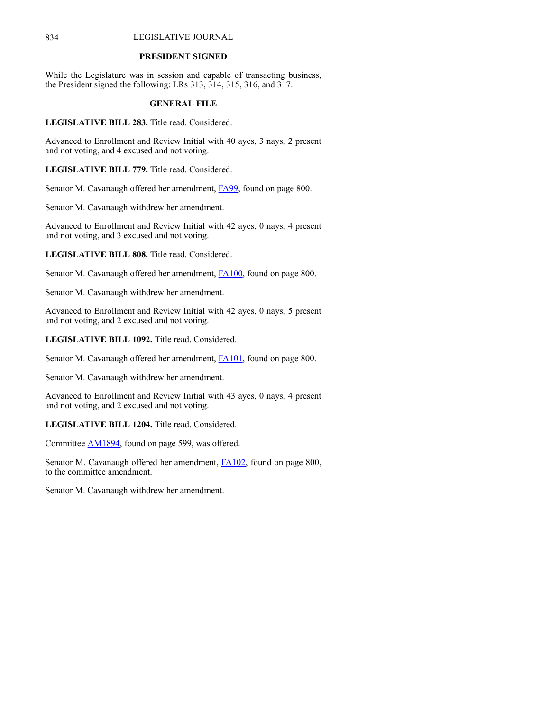#### **PRESIDENT SIGNED**

While the Legislature was in session and capable of transacting business, the President signed the following: LRs 313, 314, 315, 316, and 317.

## **GENERAL FILE**

**LEGISLATIVE BILL 283.** Title read. Considered.

Advanced to Enrollment and Review Initial with 40 ayes, 3 nays, 2 present and not voting, and 4 excused and not voting.

**LEGISLATIVE BILL 779.** Title read. Considered.

Senator M. Cavanaugh offered her amendment, [FA99](https://www.nebraskalegislature.gov/FloorDocs/107/PDF/AM/FA99.pdf), found on page 800.

Senator M. Cavanaugh withdrew her amendment.

Advanced to Enrollment and Review Initial with 42 ayes, 0 nays, 4 present and not voting, and 3 excused and not voting.

**LEGISLATIVE BILL 808.** Title read. Considered.

Senator M. Cavanaugh offered her amendment, [FA100](https://www.nebraskalegislature.gov/FloorDocs/107/PDF/AM/FA100.pdf), found on page 800.

Senator M. Cavanaugh withdrew her amendment.

Advanced to Enrollment and Review Initial with 42 ayes, 0 nays, 5 present and not voting, and 2 excused and not voting.

**LEGISLATIVE BILL 1092.** Title read. Considered.

Senator M. Cavanaugh offered her amendment, **[FA101](https://www.nebraskalegislature.gov/FloorDocs/107/PDF/AM/FA101.pdf)**, found on page 800.

Senator M. Cavanaugh withdrew her amendment.

Advanced to Enrollment and Review Initial with 43 ayes, 0 nays, 4 present and not voting, and 2 excused and not voting.

**LEGISLATIVE BILL 1204.** Title read. Considered.

Committee [AM1894,](https://www.nebraskalegislature.gov/FloorDocs/107/PDF/AM/AM1894.pdf) found on page 599, was offered.

Senator M. Cavanaugh offered her amendment, [FA102](https://www.nebraskalegislature.gov/FloorDocs/107/PDF/AM/FA102.pdf), found on page 800, to the committee amendment.

Senator M. Cavanaugh withdrew her amendment.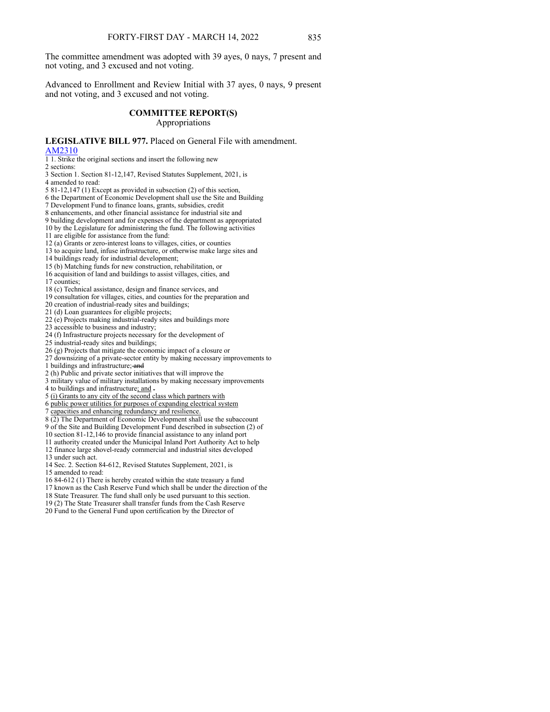The committee amendment was adopted with 39 ayes, 0 nays, 7 present and not voting, and 3 excused and not voting.

Advanced to Enrollment and Review Initial with 37 ayes, 0 nays, 9 present and not voting, and 3 excused and not voting.

#### **COMMITTEE REPORT(S)** Appropriations

#### **LEGISLATIVE BILL 977.** Placed on General File with amendment. [AM2310](https://www.nebraskalegislature.gov/FloorDocs/107/PDF/AM/AM2310.pdf)

1 1. Strike the original sections and insert the following new

2 sections:

3 Section 1. Section 81-12,147, Revised Statutes Supplement, 2021, is

4 amended to read:

- 5 81-12,147 (1) Except as provided in subsection (2) of this section,
- 6 the Department of Economic Development shall use the Site and Building

7 Development Fund to finance loans, grants, subsidies, credit

8 enhancements, and other financial assistance for industrial site and

9 building development and for expenses of the department as appropriated

10 by the Legislature for administering the fund. The following activities

11 are eligible for assistance from the fund:

12 (a) Grants or zero-interest loans to villages, cities, or counties

13 to acquire land, infuse infrastructure, or otherwise make large sites and

14 buildings ready for industrial development;

15 (b) Matching funds for new construction, rehabilitation, or

16 acquisition of land and buildings to assist villages, cities, and

17 counties;

18 (c) Technical assistance, design and finance services, and

19 consultation for villages, cities, and counties for the preparation and

20 creation of industrial-ready sites and buildings;

21 (d) Loan guarantees for eligible projects;

22 (e) Projects making industrial-ready sites and buildings more

23 accessible to business and industry;

24 (f) Infrastructure projects necessary for the development of

25 industrial-ready sites and buildings;

26 (g) Projects that mitigate the economic impact of a closure or

27 downsizing of a private-sector entity by making necessary improvements to

1 buildings and infrastructure; and

2 (h) Public and private sector initiatives that will improve the

3 military value of military installations by making necessary improvements

4 to buildings and infrastructure; and .

5 (i) Grants to any city of the second class which partners with

6 public power utilities for purposes of expanding electrical system

7 capacities and enhancing redundancy and resilience.

8 (2) The Department of Economic Development shall use the subaccount 9 of the Site and Building Development Fund described in subsection (2) of

10 section 81-12,146 to provide financial assistance to any inland port

11 authority created under the Municipal Inland Port Authority Act to help

12 finance large shovel-ready commercial and industrial sites developed 13 under such act.

14 Sec. 2. Section 84-612, Revised Statutes Supplement, 2021, is

15 amended to read:

16 84-612 (1) There is hereby created within the state treasury a fund

17 known as the Cash Reserve Fund which shall be under the direction of the

18 State Treasurer. The fund shall only be used pursuant to this section.

19 (2) The State Treasurer shall transfer funds from the Cash Reserve

20 Fund to the General Fund upon certification by the Director of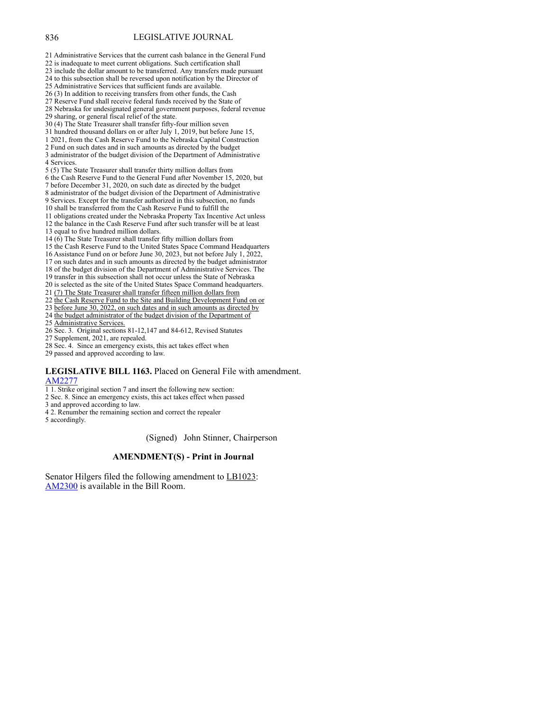- 21 Administrative Services that the current cash balance in the General Fund
- 22 is inadequate to meet current obligations. Such certification shall
- 23 include the dollar amount to be transferred. Any transfers made pursuant
- 24 to this subsection shall be reversed upon notification by the Director of 25 Administrative Services that sufficient funds are available.
- 
- 26 (3) In addition to receiving transfers from other funds, the Cash
- 27 Reserve Fund shall receive federal funds received by the State of 28 Nebraska for undesignated general government purposes, federal revenue
- 29 sharing, or general fiscal relief of the state.
- 30 (4) The State Treasurer shall transfer fifty-four million seven
- 31 hundred thousand dollars on or after July 1, 2019, but before June 15,
- 1 2021, from the Cash Reserve Fund to the Nebraska Capital Construction
- 2 Fund on such dates and in such amounts as directed by the budget 3 administrator of the budget division of the Department of Administrative 4 Services.
- 5 (5) The State Treasurer shall transfer thirty million dollars from
- 6 the Cash Reserve Fund to the General Fund after November 15, 2020, but
- 7 before December 31, 2020, on such date as directed by the budget
- 8 administrator of the budget division of the Department of Administrative
- 9 Services. Except for the transfer authorized in this subsection, no funds
- 10 shall be transferred from the Cash Reserve Fund to fulfill the
- 11 obligations created under the Nebraska Property Tax Incentive Act unless 12 the balance in the Cash Reserve Fund after such transfer will be at least 13 equal to five hundred million dollars.
- 14  $(6)$  The State Treasurer shall transfer fifty million dollars from
- 15 the Cash Reserve Fund to the United States Space Command Headquarters
- 16 Assistance Fund on or before June 30, 2023, but not before July 1, 2022,
- 17 on such dates and in such amounts as directed by the budget administrator
- 18 of the budget division of the Department of Administrative Services. The
- 19 transfer in this subsection shall not occur unless the State of Nebraska
- 20 is selected as the site of the United States Space Command headquarters.
- 21 (7) The State Treasurer shall transfer fifteen million dollars from
- 22 the Cash Reserve Fund to the Site and Building Development Fund on or
- 23 before June 30, 2022, on such dates and in such amounts as directed by
- 24 the budget administrator of the budget division of the Department of
- 25 Administrative Services.
- 
- 26 Sec. 3. Original sections 81-12,147 and 84-612, Revised Statutes
- 27 Supplement, 2021, are repealed.
- 28 Sec. 4. Since an emergency exists, this act takes effect when
- 29 passed and approved according to law.

#### **LEGISLATIVE BILL 1163.** Placed on General File with amendment. [AM2277](https://www.nebraskalegislature.gov/FloorDocs/107/PDF/AM/AM2277.pdf)

- 1 1. Strike original section 7 and insert the following new section:
- 2 Sec. 8. Since an emergency exists, this act takes effect when passed
- 3 and approved according to law.
- 4 2. Renumber the remaining section and correct the repealer
- 5 accordingly.

(Signed) John Stinner, Chairperson

#### **AMENDMENT(S) - Print in Journal**

Senator Hilgers filed the following amendment to LB1023: [AM2300](https://www.nebraskalegislature.gov/FloorDocs/107/PDF/AM/AM2300.pdf) is available in the Bill Room.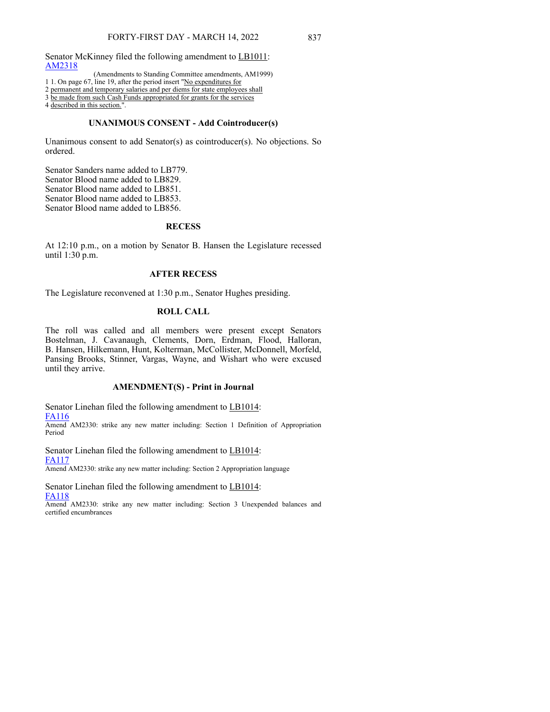Senator McKinney filed the following amendment to LB1011: [AM2318](https://www.nebraskalegislature.gov/FloorDocs/107/PDF/AM/AM2318.pdf)

(Amendments to Standing Committee amendments, AM1999)

1 1. On page 67, line 19, after the period insert "No expenditures for

2 permanent and temporary salaries and per diems for state employees shall

3 be made from such Cash Funds appropriated for grants for the services

4 described in this section.".

#### **UNANIMOUS CONSENT - Add Cointroducer(s)**

Unanimous consent to add Senator(s) as cointroducer(s). No objections. So ordered.

Senator Sanders name added to LB779. Senator Blood name added to LB829. Senator Blood name added to LB851. Senator Blood name added to LB853. Senator Blood name added to LB856.

# **RECESS**

At 12:10 p.m., on a motion by Senator B. Hansen the Legislature recessed until 1:30 p.m.

## **AFTER RECESS**

The Legislature reconvened at 1:30 p.m., Senator Hughes presiding.

# **ROLL CALL**

The roll was called and all members were present except Senators Bostelman, J. Cavanaugh, Clements, Dorn, Erdman, Flood, Halloran, B. Hansen, Hilkemann, Hunt, Kolterman, McCollister, McDonnell, Morfeld, Pansing Brooks, Stinner, Vargas, Wayne, and Wishart who were excused until they arrive.

#### **AMENDMENT(S) - Print in Journal**

Senator Linehan filed the following amendment to LB1014: [FA116](https://www.nebraskalegislature.gov/FloorDocs/107/PDF/AM/FA116.pdf)

Amend AM2330: strike any new matter including: Section 1 Definition of Appropriation Period

Senator Linehan filed the following amendment to LB1014: [FA117](https://www.nebraskalegislature.gov/FloorDocs/107/PDF/AM/FA117.pdf)

Amend AM2330: strike any new matter including: Section 2 Appropriation language

Senator Linehan filed the following amendment to LB1014: [FA118](https://www.nebraskalegislature.gov/FloorDocs/107/PDF/AM/FA118.pdf)

Amend AM2330: strike any new matter including: Section 3 Unexpended balances and certified encumbrances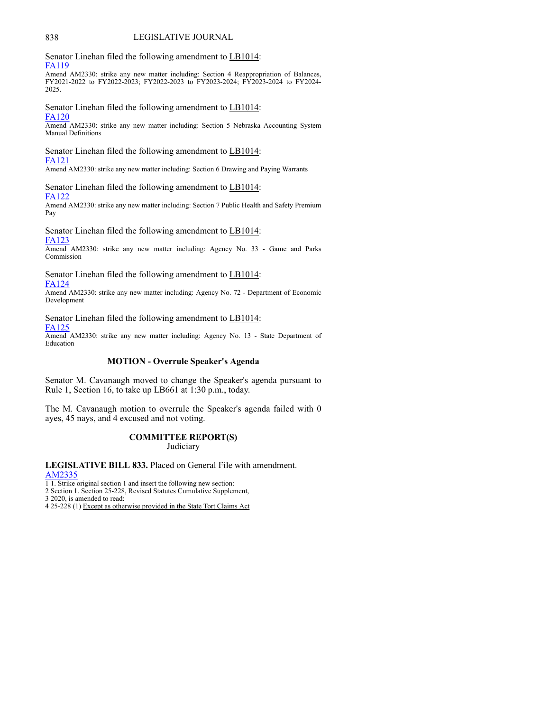Senator Linehan filed the following amendment to LB1014: [FA119](https://www.nebraskalegislature.gov/FloorDocs/107/PDF/AM/FA119.pdf)

Amend AM2330: strike any new matter including: Section 4 Reappropriation of Balances, FY2021-2022 to FY2022-2023; FY2022-2023 to FY2023-2024; FY2023-2024 to FY2024- 2025.

Senator Linehan filed the following amendment to LB1014: [FA120](https://www.nebraskalegislature.gov/FloorDocs/107/PDF/AM/FA120.pdf)

Amend AM2330: strike any new matter including: Section 5 Nebraska Accounting System Manual Definitions

Senator Linehan filed the following amendment to LB1014: [FA121](https://www.nebraskalegislature.gov/FloorDocs/107/PDF/AM/FA121.pdf)

Amend AM2330: strike any new matter including: Section 6 Drawing and Paying Warrants

Senator Linehan filed the following amendment to LB1014: [FA122](https://www.nebraskalegislature.gov/FloorDocs/107/PDF/AM/FA122.pdf)

Amend AM2330: strike any new matter including: Section 7 Public Health and Safety Premium Pay

Senator Linehan filed the following amendment to LB1014: [FA123](https://www.nebraskalegislature.gov/FloorDocs/107/PDF/AM/FA123.pdf)

Amend AM2330: strike any new matter including: Agency No. 33 - Game and Parks Commission

Senator Linehan filed the following amendment to LB1014: [FA124](https://www.nebraskalegislature.gov/FloorDocs/107/PDF/AM/FA124.pdf)

Amend AM2330: strike any new matter including: Agency No. 72 - Department of Economic Development

Senator Linehan filed the following amendment to LB1014:

[FA125](https://www.nebraskalegislature.gov/FloorDocs/107/PDF/AM/FA125.pdf)

Amend AM2330: strike any new matter including: Agency No. 13 - State Department of Education

## **MOTION - Overrule Speaker's Agenda**

Senator M. Cavanaugh moved to change the Speaker's agenda pursuant to Rule 1, Section 16, to take up LB661 at 1:30 p.m., today.

The M. Cavanaugh motion to overrule the Speaker's agenda failed with 0 ayes, 45 nays, and 4 excused and not voting.

# **COMMITTEE REPORT(S)**

**Judiciary** 

**LEGISLATIVE BILL 833.** Placed on General File with amendment. [AM2335](https://www.nebraskalegislature.gov/FloorDocs/107/PDF/AM/AM2335.pdf)

1 1. Strike original section 1 and insert the following new section:

2 Section 1. Section 25-228, Revised Statutes Cumulative Supplement,

3 2020, is amended to read:

4 25-228 (1) Except as otherwise provided in the State Tort Claims Act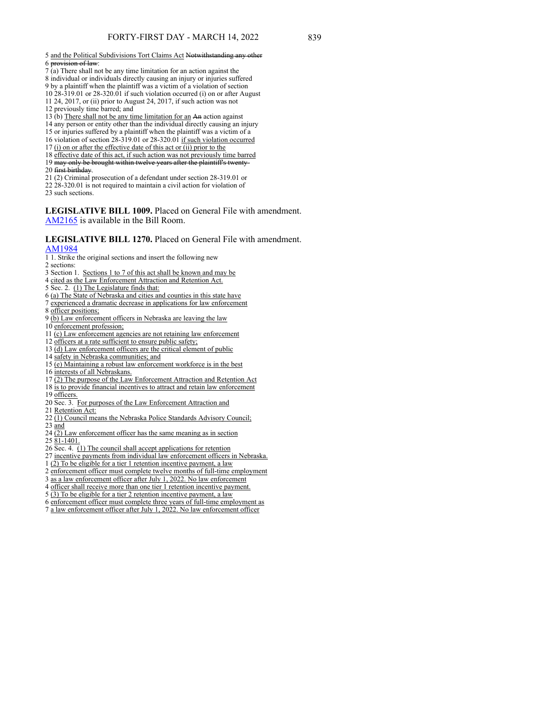#### 5 and the Political Subdivisions Tort Claims Act Notwithstanding any other 6 provision of law:

- $7$ (a) There shall not be any time limitation for an action against the 8 individual or individuals directly causing an injury or injuries suffered
- 9 by a plaintiff when the plaintiff was a victim of a violation of section

10 28-319.01 or 28-320.01 if such violation occurred (i) on or after August 11 24, 2017, or (ii) prior to August 24, 2017, if such action was not

- 12 previously time barred; and
- 13 (b) There shall not be any time limitation for an An action against
- 14 any person or entity other than the individual directly causing an injury
- 15 or injuries suffered by a plaintiff when the plaintiff was a victim of a
- 16 violation of section 28-319.01 or 28-320.01 if such violation occurred
- 17 (i) on or after the effective date of this act or (ii) prior to the
- 18 effective date of this act, if such action was not previously time barred
- 19 may only be brought within twelve years after the plaintiff's twenty-
- 20 first birthday.
- 21 (2) Criminal prosecution of a defendant under section 28-319.01 or
- 22 28-320.01 is not required to maintain a civil action for violation of
- 23 such sections.

**LEGISLATIVE BILL 1009.** Placed on General File with amendment. [AM2165](https://www.nebraskalegislature.gov/FloorDocs/107/PDF/AM/AM2165.pdf) is available in the Bill Room.

# **LEGISLATIVE BILL 1270.** Placed on General File with amendment.

## [AM1984](https://www.nebraskalegislature.gov/FloorDocs/107/PDF/AM/AM1984.pdf)

- 1 1. Strike the original sections and insert the following new
- 2 sections:
- 3 Section 1. Sections 1 to 7 of this act shall be known and may be
- 4 cited as the Law Enforcement Attraction and Retention Act.
- 5 Sec. 2. (1) The Legislature finds that:
- 6 (a) The State of Nebraska and cities and counties in this state have
- 7 experienced a dramatic decrease in applications for law enforcement
- 8 officer positions;
- 9 (b) Law enforcement officers in Nebraska are leaving the law
- 10 enforcement profession;
- 11 (c) Law enforcement agencies are not retaining law enforcement
- 12 officers at a rate sufficient to ensure public safety;
- 13 (d) Law enforcement officers are the critical element of public
- 14 safety in Nebraska communities; and
- 15 (e) Maintaining a robust law enforcement workforce is in the best
- 16 interests of all Nebraskans.
- 
- 17 (2) The purpose of the Law Enforcement Attraction and Retention Act 18 is to provide financial incentives to attract and retain law enforcement
- 19 officers.
- 20 Sec. 3. For purposes of the Law Enforcement Attraction and
- 21 Retention Act:
- 22 (1) Council means the Nebraska Police Standards Advisory Council;
- 23 and
- $24$   $\overline{(2)}$  Law enforcement officer has the same meaning as in section
- 25 81-1401.
- 26 Sec. 4. (1) The council shall accept applications for retention
- 27 incentive payments from individual law enforcement officers in Nebraska.
- 1 (2) To be eligible for a tier 1 retention incentive payment, a law
- 2 enforcement officer must complete twelve months of full-time employment
- as a law enforcement officer after July 1, 2022. No law enforcement
- 4 officer shall receive more than one tier 1 retention incentive payment.
- 
- 5 (3) To be eligible for a tier 2 retention incentive payment, a law
- 6 enforcement officer must complete three years of full-time employment as
- 7 a law enforcement officer after July 1, 2022. No law enforcement officer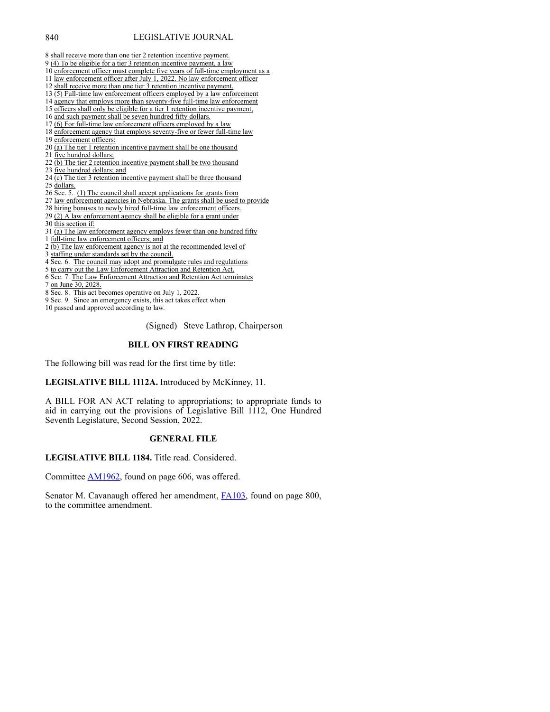- 8 shall receive more than one tier 2 retention incentive payment.
- 9 (4) To be eligible for a tier 3 retention incentive payment, a law
- 10 enforcement officer must complete five years of full-time employment as a 11 law enforcement officer after July 1, 2022. No law enforcement officer
- 12 shall receive more than one tier 3 retention incentive payment.
- 
- 13 (5) Full-time law enforcement officers employed by a law enforcement 14 agency that employs more than seventy-five full-time law enforcement
- 15 officers shall only be eligible for a tier 1 retention incentive payment,
- 16 and such payment shall be seven hundred fifty dollars.
- 17 (6) For full-time law enforcement officers employed by a law
- 18 enforcement agency that employs seventy-five or fewer full-time law
- 19 enforcement officers:
- 20 (a) The tier 1 retention incentive payment shall be one thousand
- 21 five hundred dollars;
- 22 (b) The tier 2 retention incentive payment shall be two thousand
- 23 five hundred dollars; and
- 24  $\overline{(c)}$  The tier 3 retention incentive payment shall be three thousand
- 25 dollars.
- 26 Sec. 5. (1) The council shall accept applications for grants from
- 27 law enforcement agencies in Nebraska. The grants shall be used to provide
- 28 hiring bonuses to newly hired full-time law enforcement officers.
- $29$   $\overline{(2)}$  A law enforcement agency shall be eligible for a grant under
- 30 this section if:

31 (a) The law enforcement agency employs fewer than one hundred fifty

- 1 full-time law enforcement officers; and
- 2 (b) The law enforcement agency is not at the recommended level of
- 3 staffing under standards set by the council.
- 4 Sec. 6. The council may adopt and promulgate rules and regulations
- 5 to carry out the Law Enforcement Attraction and Retention Act.
- 6 Sec. 7. The Law Enforcement Attraction and Retention Act terminates
- 7 on June 30, 2028.
- 8 Sec. 8. This act becomes operative on July 1, 2022.
- 9 Sec. 9. Since an emergency exists, this act takes effect when

10 passed and approved according to law.

(Signed) Steve Lathrop, Chairperson

## **BILL ON FIRST READING**

The following bill was read for the first time by title:

#### **LEGISLATIVE BILL 1112A.** Introduced by McKinney, 11.

A BILL FOR AN ACT relating to appropriations; to appropriate funds to aid in carrying out the provisions of Legislative Bill 1112, One Hundred Seventh Legislature, Second Session, 2022.

#### **GENERAL FILE**

#### **LEGISLATIVE BILL 1184.** Title read. Considered.

Committee [AM1962,](https://www.nebraskalegislature.gov/FloorDocs/107/PDF/AM/AM1962.pdf) found on page 606, was offered.

Senator M. Cavanaugh offered her amendment, [FA103](https://www.nebraskalegislature.gov/FloorDocs/107/PDF/AM/FA103.pdf), found on page 800, to the committee amendment.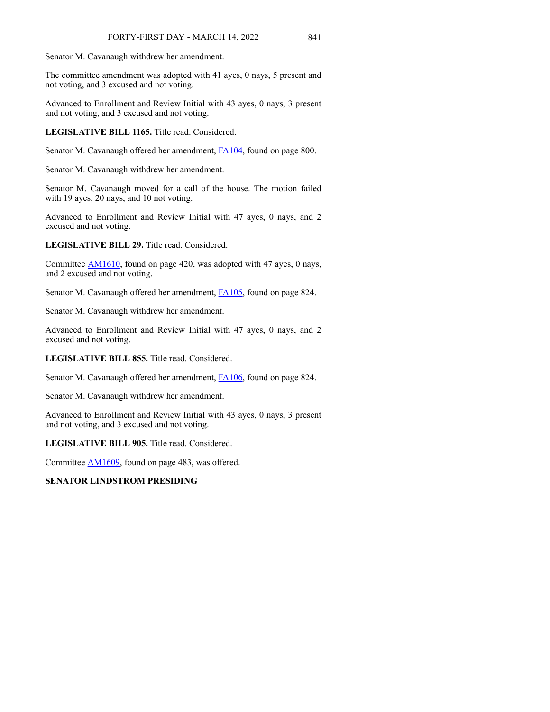Senator M. Cavanaugh withdrew her amendment.

The committee amendment was adopted with 41 ayes, 0 nays, 5 present and not voting, and 3 excused and not voting.

Advanced to Enrollment and Review Initial with 43 ayes, 0 nays, 3 present and not voting, and 3 excused and not voting.

**LEGISLATIVE BILL 1165.** Title read. Considered.

Senator M. Cavanaugh offered her amendment, [FA104](https://www.nebraskalegislature.gov/FloorDocs/107/PDF/AM/FA104.pdf), found on page 800.

Senator M. Cavanaugh withdrew her amendment.

Senator M. Cavanaugh moved for a call of the house. The motion failed with 19 ayes, 20 nays, and 10 not voting.

Advanced to Enrollment and Review Initial with 47 ayes, 0 nays, and 2 excused and not voting.

**LEGISLATIVE BILL 29.** Title read. Considered.

Committee [AM1610,](https://www.nebraskalegislature.gov/FloorDocs/107/PDF/AM/AM1610.pdf) found on page 420, was adopted with 47 ayes, 0 nays, and 2 excused and not voting.

Senator M. Cavanaugh offered her amendment, [FA105](https://www.nebraskalegislature.gov/FloorDocs/107/PDF/AM/FA105.pdf), found on page 824.

Senator M. Cavanaugh withdrew her amendment.

Advanced to Enrollment and Review Initial with 47 ayes, 0 nays, and 2 excused and not voting.

**LEGISLATIVE BILL 855.** Title read. Considered.

Senator M. Cavanaugh offered her amendment, [FA106](https://www.nebraskalegislature.gov/FloorDocs/107/PDF/AM/FA106.pdf), found on page 824.

Senator M. Cavanaugh withdrew her amendment.

Advanced to Enrollment and Review Initial with 43 ayes, 0 nays, 3 present and not voting, and 3 excused and not voting.

**LEGISLATIVE BILL 905.** Title read. Considered.

Committee [AM1609,](https://www.nebraskalegislature.gov/FloorDocs/107/PDF/AM/A,1609.pdf) found on page 483, was offered.

## **SENATOR LINDSTROM PRESIDING**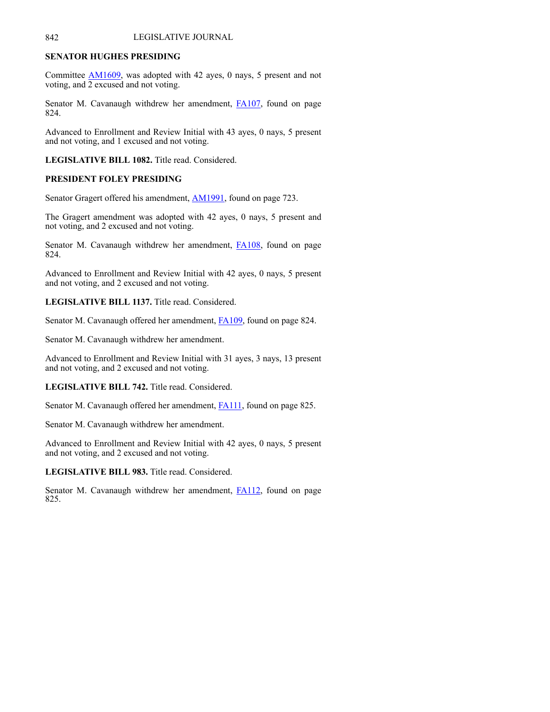## **SENATOR HUGHES PRESIDING**

Committee [AM1609](https://www.nebraskalegislature.gov/FloorDocs/107/PDF/AM/A,1609.pdf), was adopted with 42 ayes, 0 nays, 5 present and not voting, and 2 excused and not voting.

Senator M. Cavanaugh withdrew her amendment, [FA107](https://www.nebraskalegislature.gov/FloorDocs/107/PDF/AM/FA107.pdf), found on page 824.

Advanced to Enrollment and Review Initial with 43 ayes, 0 nays, 5 present and not voting, and 1 excused and not voting.

**LEGISLATIVE BILL 1082.** Title read. Considered.

## **PRESIDENT FOLEY PRESIDING**

Senator Gragert offered his amendment, **AM1991**, found on page 723.

The Gragert amendment was adopted with 42 ayes, 0 nays, 5 present and not voting, and 2 excused and not voting.

Senator M. Cavanaugh withdrew her amendment, **[FA108](https://www.nebraskalegislature.gov/FloorDocs/107/PDF/AM/FA108.pdf)**, found on page 824.

Advanced to Enrollment and Review Initial with 42 ayes, 0 nays, 5 present and not voting, and 2 excused and not voting.

**LEGISLATIVE BILL 1137.** Title read. Considered.

Senator M. Cavanaugh offered her amendment, [FA109](https://www.nebraskalegislature.gov/FloorDocs/107/PDF/AM/FA109.pdf), found on page 824.

Senator M. Cavanaugh withdrew her amendment.

Advanced to Enrollment and Review Initial with 31 ayes, 3 nays, 13 present and not voting, and 2 excused and not voting.

**LEGISLATIVE BILL 742.** Title read. Considered.

Senator M. Cavanaugh offered her amendment, **FA111**, found on page 825.

Senator M. Cavanaugh withdrew her amendment.

Advanced to Enrollment and Review Initial with 42 ayes, 0 nays, 5 present and not voting, and 2 excused and not voting.

**LEGISLATIVE BILL 983.** Title read. Considered.

Senator M. Cavanaugh withdrew her amendment, [FA112](https://www.nebraskalegislature.gov/FloorDocs/107/PDF/AM/FA112.pdf), found on page 825.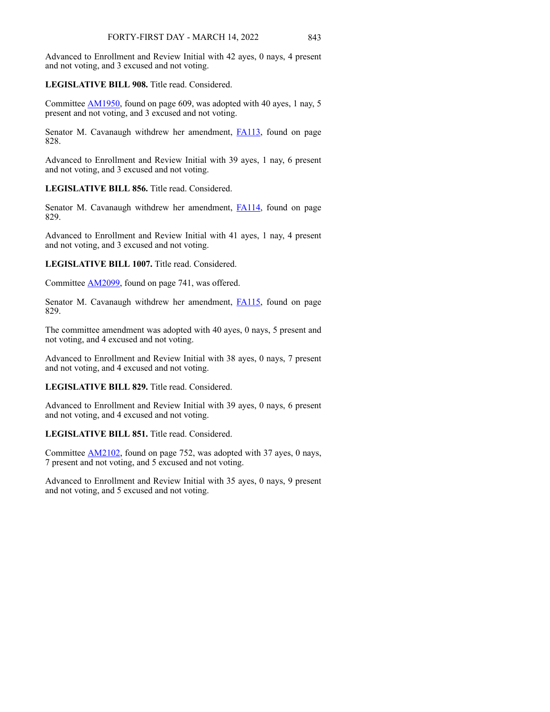Advanced to Enrollment and Review Initial with 42 ayes, 0 nays, 4 present and not voting, and 3 excused and not voting.

## **LEGISLATIVE BILL 908.** Title read. Considered.

Committee [AM1950,](https://www.nebraskalegislature.gov/FloorDocs/107/PDF/AM/AM1950.pdf) found on page 609, was adopted with 40 ayes, 1 nay, 5 present and not voting, and 3 excused and not voting.

Senator M. Cavanaugh withdrew her amendment, **[FA113](https://www.nebraskalegislature.gov/FloorDocs/107/PDF/AM/FA113.pdf)**, found on page 828.

Advanced to Enrollment and Review Initial with 39 ayes, 1 nay, 6 present and not voting, and 3 excused and not voting.

## **LEGISLATIVE BILL 856.** Title read. Considered.

Senator M. Cavanaugh withdrew her amendment, [FA114](https://www.nebraskalegislature.gov/FloorDocs/107/PDF/AM/FA114.pdf), found on page 829.

Advanced to Enrollment and Review Initial with 41 ayes, 1 nay, 4 present and not voting, and 3 excused and not voting.

**LEGISLATIVE BILL 1007.** Title read. Considered.

Committee [AM2099,](https://www.nebraskalegislature.gov/FloorDocs/107/PDF/AM/AM2099.pdf) found on page 741, was offered.

Senator M. Cavanaugh withdrew her amendment, **[FA115](https://www.nebraskalegislature.gov/FloorDocs/107/PDF/AM/FA115.pdf)**, found on page 829.

The committee amendment was adopted with 40 ayes, 0 nays, 5 present and not voting, and 4 excused and not voting.

Advanced to Enrollment and Review Initial with 38 ayes, 0 nays, 7 present and not voting, and 4 excused and not voting.

**LEGISLATIVE BILL 829.** Title read. Considered.

Advanced to Enrollment and Review Initial with 39 ayes, 0 nays, 6 present and not voting, and 4 excused and not voting.

**LEGISLATIVE BILL 851.** Title read. Considered.

Committee [AM2102,](https://www.nebraskalegislature.gov/FloorDocs/107/PDF/AM/AM2102.pdf) found on page 752, was adopted with 37 ayes, 0 nays, 7 present and not voting, and 5 excused and not voting.

Advanced to Enrollment and Review Initial with 35 ayes, 0 nays, 9 present and not voting, and 5 excused and not voting.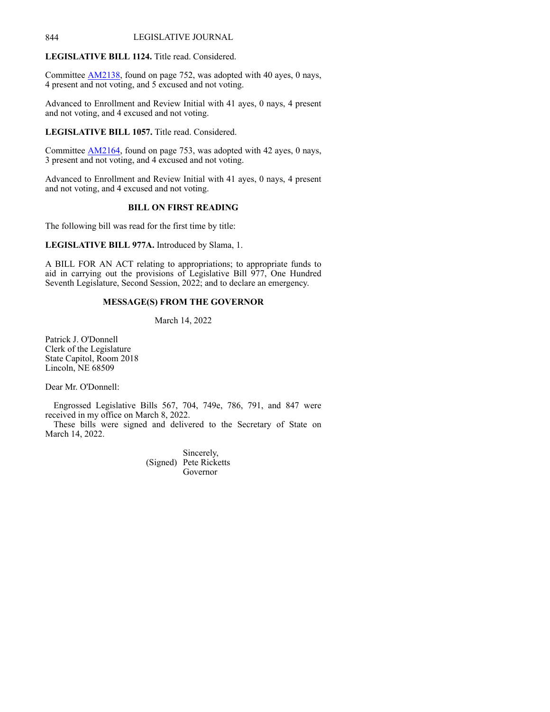## **LEGISLATIVE BILL 1124.** Title read. Considered.

Committee [AM2138,](https://www.nebraskalegislature.gov/FloorDocs/107/PDF/AM/AM2138.pdf) found on page 752, was adopted with 40 ayes, 0 nays, 4 present and not voting, and 5 excused and not voting.

Advanced to Enrollment and Review Initial with 41 ayes, 0 nays, 4 present and not voting, and 4 excused and not voting.

**LEGISLATIVE BILL 1057.** Title read. Considered.

Committee [AM2164,](https://www.nebraskalegislature.gov/FloorDocs/107/PDF/AM/AM2164.pdf) found on page 753, was adopted with 42 ayes, 0 nays, 3 present and not voting, and 4 excused and not voting.

Advanced to Enrollment and Review Initial with 41 ayes, 0 nays, 4 present and not voting, and 4 excused and not voting.

# **BILL ON FIRST READING**

The following bill was read for the first time by title:

**LEGISLATIVE BILL 977A.** Introduced by Slama, 1.

A BILL FOR AN ACT relating to appropriations; to appropriate funds to aid in carrying out the provisions of Legislative Bill 977, One Hundred Seventh Legislature, Second Session, 2022; and to declare an emergency.

## **MESSAGE(S) FROM THE GOVERNOR**

March 14, 2022

Patrick J. O'Donnell Clerk of the Legislature State Capitol, Room 2018 Lincoln, NE 68509

Dear Mr. O'Donnell:

Engrossed Legislative Bills 567, 704, 749e, 786, 791, and 847 were received in my office on March 8, 2022.

These bills were signed and delivered to the Secretary of State on March 14, 2022.

> Sincerely, (Signed) Pete Ricketts Governor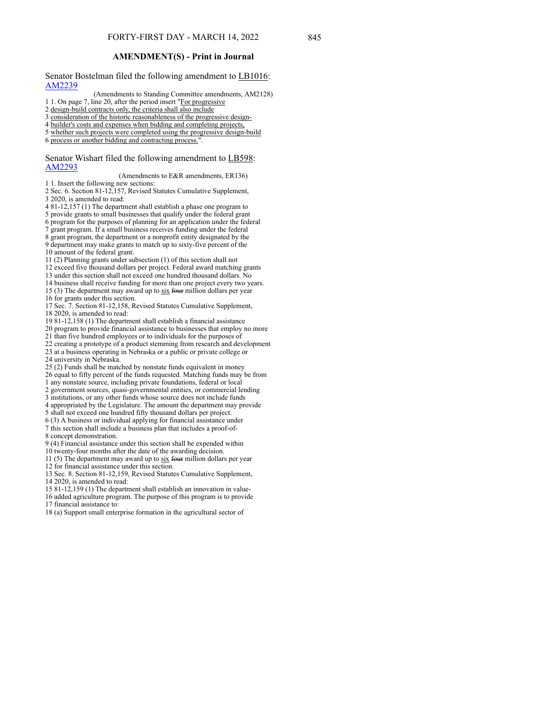Senator Bostelman filed the following amendment to LB1016: [AM2239](https://www.nebraskalegislature.gov/FloorDocs/107/PDF/AM/AM2239.pdf)

(Amendments to Standing Committee amendments, AM2128)

1 1. On page 7, line 20, after the period insert "For progressive

2 design-build contracts only, the criteria shall also include

3 consideration of the historic reasonableness of the progressive design-

4 builder's costs and expenses when bidding and completing projects,

5 whether such projects were completed using the progressive design-build

6 process or another bidding and contracting process.".

Senator Wishart filed the following amendment to LB598: [AM2293](https://www.nebraskalegislature.gov/FloorDocs/107/PDF/AM/AM2293.pdf)

(Amendments to E&R amendments, ER136) 1 1. Insert the following new sections:

2 Sec. 6. Section 81-12,157, Revised Statutes Cumulative Supplement, 3 2020, is amended to read:

- 4 81-12,157 (1) The department shall establish a phase one program to 5 provide grants to small businesses that qualify under the federal grant 6 program for the purposes of planning for an application under the federal 7 grant program. If a small business receives funding under the federal 8 grant program, the department or a nonprofit entity designated by the 9 department may make grants to match up to sixty-five percent of the
- 10 amount of the federal grant. 11 (2) Planning grants under subsection (1) of this section shall not

12 exceed five thousand dollars per project. Federal award matching grants

13 under this section shall not exceed one hundred thousand dollars. No

14 business shall receive funding for more than one project every two years.

15 (3) The department may award up to  $six$  four million dollars per year 16 for grants under this section.

17 Sec. 7. Section 81-12,158, Revised Statutes Cumulative Supplement, 18 2020, is amended to read:

19 81-12,158 (1) The department shall establish a financial assistance

20 program to provide financial assistance to businesses that employ no more

21 than five hundred employees or to individuals for the purposes of 22 creating a prototype of a product stemming from research and development 23 at a business operating in Nebraska or a public or private college or

24 university in Nebraska.

25 (2) Funds shall be matched by nonstate funds equivalent in money 26 equal to fifty percent of the funds requested. Matching funds may be from

1 any nonstate source, including private foundations, federal or local

2 government sources, quasi-governmental entities, or commercial lending 3 institutions, or any other funds whose source does not include funds

4 appropriated by the Legislature. The amount the department may provide 5 shall not exceed one hundred fifty thousand dollars per project.

6 (3) A business or individual applying for financial assistance under

7 this section shall include a business plan that includes a proof-of-8 concept demonstration.

9 (4) Financial assistance under this section shall be expended within

10 twenty-four months after the date of the awarding decision.

11 (5) The department may award up to  $six$  four million dollars per year 12 for financial assistance under this section.

13 Sec. 8. Section 81-12,159, Revised Statutes Cumulative Supplement,

14 2020, is amended to read:

15 81-12,159 (1) The department shall establish an innovation in value-

16 added agriculture program. The purpose of this program is to provide 17 financial assistance to:

18 (a) Support small enterprise formation in the agricultural sector of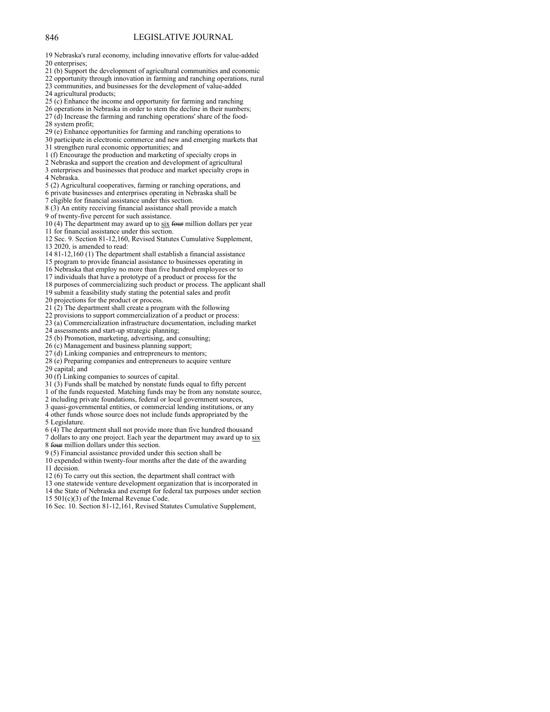19 Nebraska's rural economy, including innovative efforts for value-added 20 enterprises;

- 21 (b) Support the development of agricultural communities and economic
- 22 opportunity through innovation in farming and ranching operations, rural 23 communities, and businesses for the development of value-added

24 agricultural products;

25 (c) Enhance the income and opportunity for farming and ranching

26 operations in Nebraska in order to stem the decline in their numbers; 27 (d) Increase the farming and ranching operations' share of the food-28 system profit;

29 (e) Enhance opportunities for farming and ranching operations to

30 participate in electronic commerce and new and emerging markets that 31 strengthen rural economic opportunities; and

- 1 (f) Encourage the production and marketing of specialty crops in
- 2 Nebraska and support the creation and development of agricultural
- 3 enterprises and businesses that produce and market specialty crops in 4 Nebraska.
- 5 (2) Agricultural cooperatives, farming or ranching operations, and
- 6 private businesses and enterprises operating in Nebraska shall be
- 7 eligible for financial assistance under this section.
- 8 (3) An entity receiving financial assistance shall provide a match
- 9 of twenty-five percent for such assistance.

10 (4) The department may award up to six four million dollars per year 11 for financial assistance under this section.

12 Sec. 9. Section 81-12,160, Revised Statutes Cumulative Supplement, 13 2020, is amended to read:

14 81-12,160 (1) The department shall establish a financial assistance

- 15 program to provide financial assistance to businesses operating in
- 16 Nebraska that employ no more than five hundred employees or to
- 17 individuals that have a prototype of a product or process for the
- 18 purposes of commercializing such product or process. The applicant shall
- 19 submit a feasibility study stating the potential sales and profit
- 20 projections for the product or process.
- 21 (2) The department shall create a program with the following
- 22 provisions to support commercialization of a product or process:
- 23 (a) Commercialization infrastructure documentation, including market
- 24 assessments and start-up strategic planning;
- 25 (b) Promotion, marketing, advertising, and consulting;
- 26 (c) Management and business planning support;
- 27 (d) Linking companies and entrepreneurs to mentors;
- 28 (e) Preparing companies and entrepreneurs to acquire venture

29 capital; and

- 30 (f) Linking companies to sources of capital.
- 31 (3) Funds shall be matched by nonstate funds equal to fifty percent
- 1 of the funds requested. Matching funds may be from any nonstate source,
- 2 including private foundations, federal or local government sources,
- 
- 4 other funds whose source does not include funds appropriated by the 5 Legislature.
- 6 (4) The department shall not provide more than five hundred thousand
- 7 dollars to any one project. Each year the department may award up to six 8 four million dollars under this section.
- 9 (5) Financial assistance provided under this section shall be
- 10 expended within twenty-four months after the date of the awarding 11 decision.
- 12 (6) To carry out this section, the department shall contract with
- 13 one statewide venture development organization that is incorporated in
- 14 the State of Nebraska and exempt for federal tax purposes under section 15 501(c)(3) of the Internal Revenue Code.
- 16 Sec. 10. Section 81-12,161, Revised Statutes Cumulative Supplement,

3 quasi-governmental entities, or commercial lending institutions, or any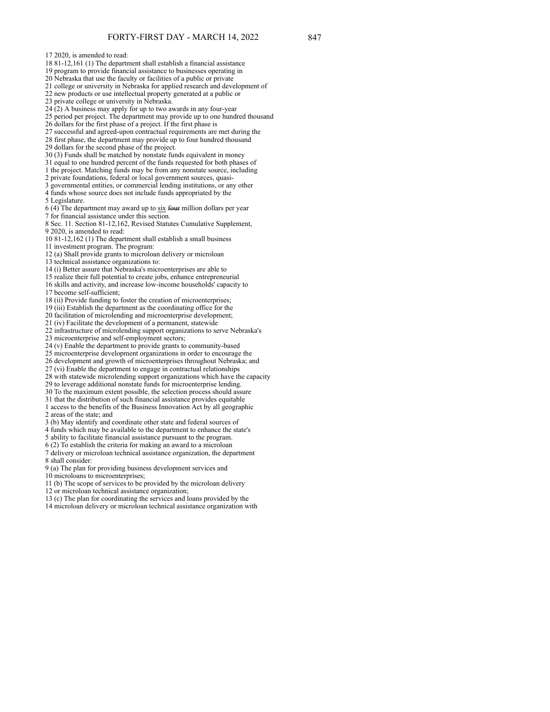17 2020, is amended to read:

18 81-12,161 (1) The department shall establish a financial assistance

19 program to provide financial assistance to businesses operating in

20 Nebraska that use the faculty or facilities of a public or private

21 college or university in Nebraska for applied research and development of 22 new products or use intellectual property generated at a public or

23 private college or university in Nebraska.

 $24(2)$  A business may apply for up to two awards in any four-year

25 period per project. The department may provide up to one hundred thousand

26 dollars for the first phase of a project. If the first phase is

27 successful and agreed-upon contractual requirements are met during the

28 first phase, the department may provide up to four hundred thousand

29 dollars for the second phase of the project.

30 (3) Funds shall be matched by nonstate funds equivalent in money

31 equal to one hundred percent of the funds requested for both phases of

1 the project. Matching funds may be from any nonstate source, including

2 private foundations, federal or local government sources, quasi-

3 governmental entities, or commercial lending institutions, or any other 4 funds whose source does not include funds appropriated by the

5 Legislature.

 $6$  (4) The department may award up to  $s$ ix four million dollars per year 7 for financial assistance under this section.

8 Sec. 11. Section 81-12,162, Revised Statutes Cumulative Supplement, 9 2020, is amended to read:

10 81-12,162 (1) The department shall establish a small business

11 investment program. The program:

12 (a) Shall provide grants to microloan delivery or microloan

13 technical assistance organizations to:

14 (i) Better assure that Nebraska's microenterprises are able to

15 realize their full potential to create jobs, enhance entrepreneurial

16 skills and activity, and increase low-income households' capacity to 17 become self-sufficient;

18 (ii) Provide funding to foster the creation of microenterprises;

19 (iii) Establish the department as the coordinating office for the

20 facilitation of microlending and microenterprise development;

21 (iv) Facilitate the development of a permanent, statewide

22 infrastructure of microlending support organizations to serve Nebraska's

23 microenterprise and self-employment sectors;

24 (v) Enable the department to provide grants to community-based

25 microenterprise development organizations in order to encourage the 26 development and growth of microenterprises throughout Nebraska; and

27 (vi) Enable the department to engage in contractual relationships 28 with statewide microlending support organizations which have the capacity

29 to leverage additional nonstate funds for microenterprise lending.

30 To the maximum extent possible, the selection process should assure

31 that the distribution of such financial assistance provides equitable

1 access to the benefits of the Business Innovation Act by all geographic 2 areas of the state; and

3 (b) May identify and coordinate other state and federal sources of

4 funds which may be available to the department to enhance the state's

5 ability to facilitate financial assistance pursuant to the program.

6 (2) To establish the criteria for making an award to a microloan

7 delivery or microloan technical assistance organization, the department 8 shall consider:

9 (a) The plan for providing business development services and

10 microloans to microenterprises;

11 (b) The scope of services to be provided by the microloan delivery

12 or microloan technical assistance organization;

13 (c) The plan for coordinating the services and loans provided by the

14 microloan delivery or microloan technical assistance organization with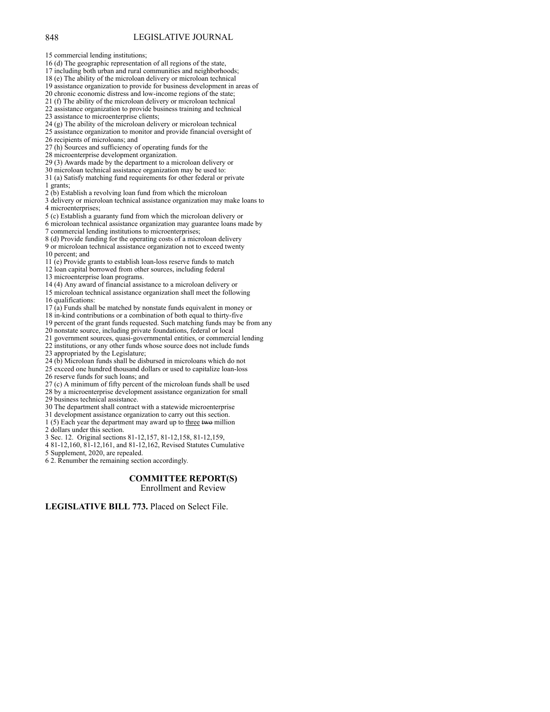15 commercial lending institutions;

16 (d) The geographic representation of all regions of the state,

17 including both urban and rural communities and neighborhoods; 18 (e) The ability of the microloan delivery or microloan technical

19 assistance organization to provide for business development in areas of

20 chronic economic distress and low-income regions of the state;

21 (f) The ability of the microloan delivery or microloan technical

22 assistance organization to provide business training and technical

23 assistance to microenterprise clients;

24 (g) The ability of the microloan delivery or microloan technical

25 assistance organization to monitor and provide financial oversight of

26 recipients of microloans; and

27 (h) Sources and sufficiency of operating funds for the

28 microenterprise development organization.

29 (3) Awards made by the department to a microloan delivery or

30 microloan technical assistance organization may be used to:

31 (a) Satisfy matching fund requirements for other federal or private 1 grants;

2 (b) Establish a revolving loan fund from which the microloan

3 delivery or microloan technical assistance organization may make loans to 4 microenterprises;

5 (c) Establish a guaranty fund from which the microloan delivery or

6 microloan technical assistance organization may guarantee loans made by 7 commercial lending institutions to microenterprises;

8 (d) Provide funding for the operating costs of a microloan delivery 9 or microloan technical assistance organization not to exceed twenty 10 percent; and

11 (e) Provide grants to establish loan-loss reserve funds to match

12 loan capital borrowed from other sources, including federal

13 microenterprise loan programs.

14 (4) Any award of financial assistance to a microloan delivery or

15 microloan technical assistance organization shall meet the following 16 qualifications:

17 (a) Funds shall be matched by nonstate funds equivalent in money or

18 in-kind contributions or a combination of both equal to thirty-five

19 percent of the grant funds requested. Such matching funds may be from any 20 nonstate source, including private foundations, federal or local

21 government sources, quasi-governmental entities, or commercial lending

22 institutions, or any other funds whose source does not include funds

23 appropriated by the Legislature;

24 (b) Microloan funds shall be disbursed in microloans which do not

25 exceed one hundred thousand dollars or used to capitalize loan-loss 26 reserve funds for such loans; and

27 (c) A minimum of fifty percent of the microloan funds shall be used

28 by a microenterprise development assistance organization for small

29 business technical assistance.

30 The department shall contract with a statewide microenterprise

31 development assistance organization to carry out this section.

1 (5) Each year the department may award up to three two million

2 dollars under this section.

3 Sec. 12. Original sections 81-12,157, 81-12,158, 81-12,159,

4 81-12,160, 81-12,161, and 81-12,162, Revised Statutes Cumulative

5 Supplement, 2020, are repealed.

6 2. Renumber the remaining section accordingly.

## **COMMITTEE REPORT(S)**

Enrollment and Review

**LEGISLATIVE BILL 773.** Placed on Select File.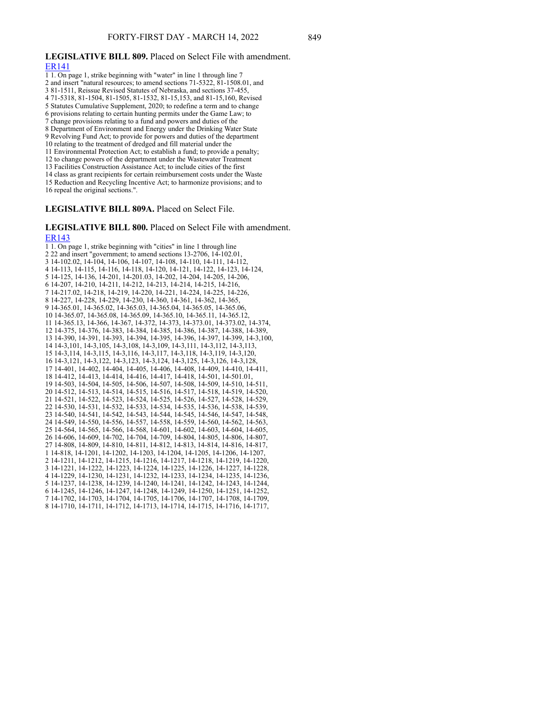#### **LEGISLATIVE BILL 809.** Placed on Select File with amendment. [ER141](https://www.nebraskalegislature.gov/FloorDocs/107/PDF/AM/ER141.pdf)

- 
- 1 1. On page 1, strike beginning with "water" in line 1 through line 7
- 2 and insert "natural resources; to amend sections 71-5322, 81-1508.01, and 3 81-1511, Reissue Revised Statutes of Nebraska, and sections 37-455,

4 71-5318, 81-1504, 81-1505, 81-1532, 81-15,153, and 81-15,160, Revised

5 Statutes Cumulative Supplement, 2020; to redefine a term and to change

6 provisions relating to certain hunting permits under the Game Law; to

7 change provisions relating to a fund and powers and duties of the

8 Department of Environment and Energy under the Drinking Water State

9 Revolving Fund Act; to provide for powers and duties of the department

10 relating to the treatment of dredged and fill material under the

11 Environmental Protection Act; to establish a fund; to provide a penalty;

12 to change powers of the department under the Wastewater Treatment

13 Facilities Construction Assistance Act; to include cities of the first

14 class as grant recipients for certain reimbursement costs under the Waste

15 Reduction and Recycling Incentive Act; to harmonize provisions; and to

16 repeal the original sections.".

**LEGISLATIVE BILL 809A.** Placed on Select File.

## **LEGISLATIVE BILL 800.** Placed on Select File with amendment. [ER143](https://www.nebraskalegislature.gov/FloorDocs/107/PDF/AM/ER143.pdf)

1 1. On page 1, strike beginning with "cities" in line 1 through line 2 22 and insert "government; to amend sections 13-2706, 14-102.01, 3 14-102.02, 14-104, 14-106, 14-107, 14-108, 14-110, 14-111, 14-112, 4 14-113, 14-115, 14-116, 14-118, 14-120, 14-121, 14-122, 14-123, 14-124, 5 14-125, 14-136, 14-201, 14-201.03, 14-202, 14-204, 14-205, 14-206, 6 14-207, 14-210, 14-211, 14-212, 14-213, 14-214, 14-215, 14-216, 7 14-217.02, 14-218, 14-219, 14-220, 14-221, 14-224, 14-225, 14-226, 8 14-227, 14-228, 14-229, 14-230, 14-360, 14-361, 14-362, 14-365, 9 14-365.01, 14-365.02, 14-365.03, 14-365.04, 14-365.05, 14-365.06, 10 14-365.07, 14-365.08, 14-365.09, 14-365.10, 14-365.11, 14-365.12, 11 14-365.13, 14-366, 14-367, 14-372, 14-373, 14-373.01, 14-373.02, 14-374, 12 14-375, 14-376, 14-383, 14-384, 14-385, 14-386, 14-387, 14-388, 14-389, 13 14-390, 14-391, 14-393, 14-394, 14-395, 14-396, 14-397, 14-399, 14-3,100, 14 14-3,101, 14-3,105, 14-3,108, 14-3,109, 14-3,111, 14-3,112, 14-3,113, 15 14-3,114, 14-3,115, 14-3,116, 14-3,117, 14-3,118, 14-3,119, 14-3,120, 16 14-3,121, 14-3,122, 14-3,123, 14-3,124, 14-3,125, 14-3,126, 14-3,128, 17 14-401, 14-402, 14-404, 14-405, 14-406, 14-408, 14-409, 14-410, 14-411, 18 14-412, 14-413, 14-414, 14-416, 14-417, 14-418, 14-501, 14-501.01, 19 14-503, 14-504, 14-505, 14-506, 14-507, 14-508, 14-509, 14-510, 14-511, 20 14-512, 14-513, 14-514, 14-515, 14-516, 14-517, 14-518, 14-519, 14-520, 21 14-521, 14-522, 14-523, 14-524, 14-525, 14-526, 14-527, 14-528, 14-529, 22 14-530, 14-531, 14-532, 14-533, 14-534, 14-535, 14-536, 14-538, 14-539, 23 14-540, 14-541, 14-542, 14-543, 14-544, 14-545, 14-546, 14-547, 14-548, 24 14-549, 14-550, 14-556, 14-557, 14-558, 14-559, 14-560, 14-562, 14-563, 25 14-564, 14-565, 14-566, 14-568, 14-601, 14-602, 14-603, 14-604, 14-605, 26 14-606, 14-609, 14-702, 14-704, 14-709, 14-804, 14-805, 14-806, 14-807, 27 14-808, 14-809, 14-810, 14-811, 14-812, 14-813, 14-814, 14-816, 14-817, 1 14-818, 14-1201, 14-1202, 14-1203, 14-1204, 14-1205, 14-1206, 14-1207, 2 14-1211, 14-1212, 14-1215, 14-1216, 14-1217, 14-1218, 14-1219, 14-1220, 3 14-1221, 14-1222, 14-1223, 14-1224, 14-1225, 14-1226, 14-1227, 14-1228, 4 14-1229, 14-1230, 14-1231, 14-1232, 14-1233, 14-1234, 14-1235, 14-1236, 5 14-1237, 14-1238, 14-1239, 14-1240, 14-1241, 14-1242, 14-1243, 14-1244, 6 14-1245, 14-1246, 14-1247, 14-1248, 14-1249, 14-1250, 14-1251, 14-1252, 7 14-1702, 14-1703, 14-1704, 14-1705, 14-1706, 14-1707, 14-1708, 14-1709, 8 14-1710, 14-1711, 14-1712, 14-1713, 14-1714, 14-1715, 14-1716, 14-1717,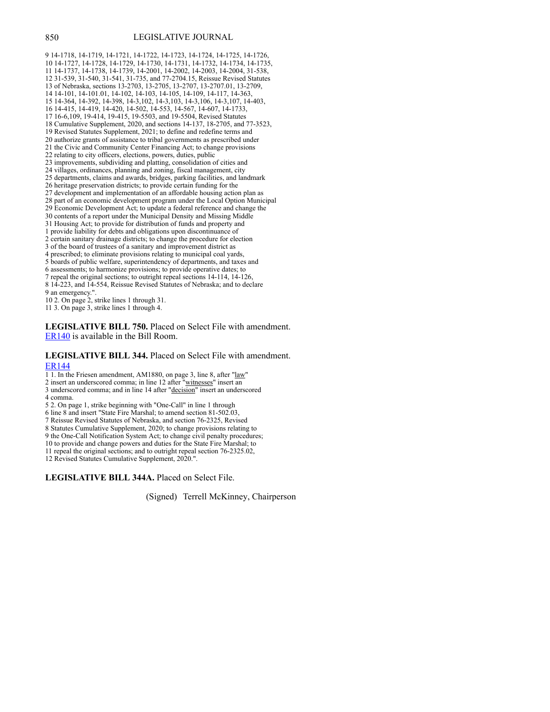9 14-1718, 14-1719, 14-1721, 14-1722, 14-1723, 14-1724, 14-1725, 14-1726, 10 14-1727, 14-1728, 14-1729, 14-1730, 14-1731, 14-1732, 14-1734, 14-1735, 11 14-1737, 14-1738, 14-1739, 14-2001, 14-2002, 14-2003, 14-2004, 31-538, 12 31-539, 31-540, 31-541, 31-735, and 77-2704.15, Reissue Revised Statutes 13 of Nebraska, sections 13-2703, 13-2705, 13-2707, 13-2707.01, 13-2709, 14 14-101, 14-101.01, 14-102, 14-103, 14-105, 14-109, 14-117, 14-363, 15 14-364, 14-392, 14-398, 14-3,102, 14-3,103, 14-3,106, 14-3,107, 14-403, 16 14-415, 14-419, 14-420, 14-502, 14-553, 14-567, 14-607, 14-1733, 17 16-6,109, 19-414, 19-415, 19-5503, and 19-5504, Revised Statutes 18 Cumulative Supplement, 2020, and sections 14-137, 18-2705, and 77-3523, 19 Revised Statutes Supplement, 2021; to define and redefine terms and 20 authorize grants of assistance to tribal governments as prescribed under 21 the Civic and Community Center Financing Act; to change provisions 22 relating to city officers, elections, powers, duties, public 23 improvements, subdividing and platting, consolidation of cities and 24 villages, ordinances, planning and zoning, fiscal management, city 25 departments, claims and awards, bridges, parking facilities, and landmark 26 heritage preservation districts; to provide certain funding for the 27 development and implementation of an affordable housing action plan as 28 part of an economic development program under the Local Option Municipal 29 Economic Development Act; to update a federal reference and change the 30 contents of a report under the Municipal Density and Missing Middle 31 Housing Act; to provide for distribution of funds and property and 1 provide liability for debts and obligations upon discontinuance of 2 certain sanitary drainage districts; to change the procedure for election 3 of the board of trustees of a sanitary and improvement district as 4 prescribed; to eliminate provisions relating to municipal coal yards, 5 boards of public welfare, superintendency of departments, and taxes and 6 assessments; to harmonize provisions; to provide operative dates; to 7 repeal the original sections; to outright repeal sections 14-114, 14-126, 8 14-223, and 14-554, Reissue Revised Statutes of Nebraska; and to declare 9 an emergency.".

10 2. On page 2, strike lines 1 through 31.

11 3. On page 3, strike lines 1 through 4.

**LEGISLATIVE BILL 750.** Placed on Select File with amendment. [ER140](https://www.nebraskalegislature.gov/FloorDocs/107/PDF/AM/ER140.pdf) is available in the Bill Room.

#### **LEGISLATIVE BILL 344.** Placed on Select File with amendment. [ER144](https://www.nebraskalegislature.gov/FloorDocs/107/PDF/AM/ER144.pdf)

1 1. In the Friesen amendment, AM1880, on page 3, line 8, after "law"

2 insert an underscored comma; in line 12 after "witnesses" insert an

- 3 underscored comma; and in line 14 after "decision" insert an underscored 4 comma.
- 5 2. On page 1, strike beginning with "One-Call" in line 1 through
- 6 line 8 and insert "State Fire Marshal; to amend section 81-502.03,
- 7 Reissue Revised Statutes of Nebraska, and section 76-2325, Revised

8 Statutes Cumulative Supplement, 2020; to change provisions relating to

9 the One-Call Notification System Act; to change civil penalty procedures;

10 to provide and change powers and duties for the State Fire Marshal; to

11 repeal the original sections; and to outright repeal section 76-2325.02,

12 Revised Statutes Cumulative Supplement, 2020.".

**LEGISLATIVE BILL 344A.** Placed on Select File.

(Signed) Terrell McKinney, Chairperson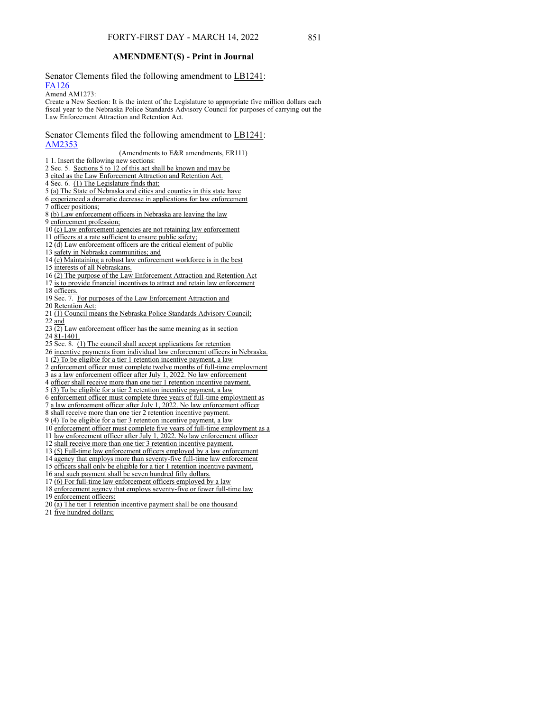## **AMENDMENT(S) - Print in Journal**

Senator Clements filed the following amendment to LB1241: [FA126](https://www.nebraskalegislature.gov/FloorDocs/107/PDF/AM/FA126.pdf)

#### Amend AM1273:

Create a New Section: It is the intent of the Legislature to appropriate five million dollars each fiscal year to the Nebraska Police Standards Advisory Council for purposes of carrying out the Law Enforcement Attraction and Retention Act.

#### Senator Clements filed the following amendment to LB1241: [AM2353](https://www.nebraskalegislature.gov/FloorDocs/107/PDF/AM/AM2353.pdf)

(Amendments to E&R amendments, ER111)

- 1 1. Insert the following new sections:
- 2 Sec. 5. Sections 5 to 12 of this act shall be known and may be
- 3 cited as the Law Enforcement Attraction and Retention Act.
- 4 Sec. 6. (1) The Legislature finds that:
- 5 (a) The State of Nebraska and cities and counties in this state have
- 6 experienced a dramatic decrease in applications for law enforcement
- 7 officer positions;
- 8 (b) Law enforcement officers in Nebraska are leaving the law
- 9 enforcement profession;

10 (c) Law enforcement agencies are not retaining law enforcement

- 11 officers at a rate sufficient to ensure public safety;
- 12 (d) Law enforcement officers are the critical element of public
- 13 safety in Nebraska communities; and
- 14 (e) Maintaining a robust law enforcement workforce is in the best
- 15 interests of all Nebraskans.
- 16 (2) The purpose of the Law Enforcement Attraction and Retention Act
- 17 is to provide financial incentives to attract and retain law enforcement
- 18 officers.
- 19 Sec. 7. For purposes of the Law Enforcement Attraction and
- 20 Retention Act:
- 21 (1) Council means the Nebraska Police Standards Advisory Council; 22 and
- 
- $23$   $\overline{(2)}$  Law enforcement officer has the same meaning as in section
- 24 81-1401.
- 25 Sec. 8. (1) The council shall accept applications for retention 26 incentive payments from individual law enforcement officers in Nebraska.
- 
- 1 (2) To be eligible for a tier 1 retention incentive payment, a law 2 enforcement officer must complete twelve months of full-time employment
- 3 as a law enforcement officer after July 1, 2022. No law enforcement
- 4 officer shall receive more than one tier 1 retention incentive payment.
- 
- 5 (3) To be eligible for a tier 2 retention incentive payment, a law
- 6 enforcement officer must complete three years of full-time employment as
- 7 a law enforcement officer after July 1, 2022. No law enforcement officer
- 8 shall receive more than one tier 2 retention incentive payment.
- 9 (4) To be eligible for a tier 3 retention incentive payment, a law
- 10 enforcement officer must complete five years of full-time employment as a
- 11 law enforcement officer after July 1, 2022. No law enforcement officer
- 12 shall receive more than one tier 3 retention incentive payment.
- 13 (5) Full-time law enforcement officers employed by a law enforcement
- 14 agency that employs more than seventy-five full-time law enforcement
- 
- 15 officers shall only be eligible for a tier 1 retention incentive payment,
- 16 and such payment shall be seven hundred fifty dollars.
- 17 (6) For full-time law enforcement officers employed by a law
- 18 enforcement agency that employs seventy-five or fewer full-time law 19 enforcement officers:
- 
- 20 (a) The tier 1 retention incentive payment shall be one thousand
- 21 five hundred dollars;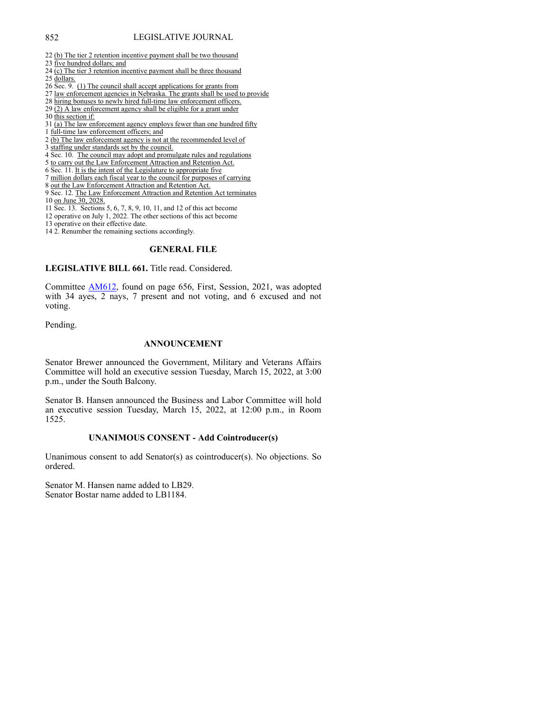- 22 (b) The tier 2 retention incentive payment shall be two thousand
- 23 five hundred dollars; and
- 24 (c) The tier 3 retention incentive payment shall be three thousand
- 25 dollars.
- 26 Sec. 9. (1) The council shall accept applications for grants from
- 27 law enforcement agencies in Nebraska. The grants shall be used to provide
- 28 hiring bonuses to newly hired full-time law enforcement officers.
- $29$   $\overline{(2)}$  A law enforcement agency shall be eligible for a grant under
- 30 this section if:

31 (a) The law enforcement agency employs fewer than one hundred fifty

- 1 full-time law enforcement officers; and
- 2 (b) The law enforcement agency is not at the recommended level of
- 3 staffing under standards set by the council.
- 4 Sec. 10. The council may adopt and promulgate rules and regulations
- 5 to carry out the Law Enforcement Attraction and Retention Act.
- 6 Sec. 11. It is the intent of the Legislature to appropriate five
- 7 million dollars each fiscal year to the council for purposes of carrying
- 8 out the Law Enforcement Attraction and Retention Act.
- 9 Sec. 12. The Law Enforcement Attraction and Retention Act terminates 10 on June 30, 2028.
- 11 Sec. 13. Sections 5, 6, 7, 8, 9, 10, 11, and 12 of this act become
- 12 operative on July 1, 2022. The other sections of this act become
- 13 operative on their effective date.
- 14 2. Renumber the remaining sections accordingly.

#### **GENERAL FILE**

**LEGISLATIVE BILL 661.** Title read. Considered.

Committee [AM612,](https://www.nebraskalegislature.gov/FloorDocs/107/PDF/AM/AM612.pdf) found on page 656, First, Session, 2021, was adopted with 34 ayes, 2 nays, 7 present and not voting, and 6 excused and not voting.

Pending.

#### **ANNOUNCEMENT**

Senator Brewer announced the Government, Military and Veterans Affairs Committee will hold an executive session Tuesday, March 15, 2022, at 3:00 p.m., under the South Balcony.

Senator B. Hansen announced the Business and Labor Committee will hold an executive session Tuesday, March 15, 2022, at 12:00 p.m., in Room 1525.

## **UNANIMOUS CONSENT - Add Cointroducer(s)**

Unanimous consent to add Senator(s) as cointroducer(s). No objections. So ordered.

Senator M. Hansen name added to LB29. Senator Bostar name added to LB1184.